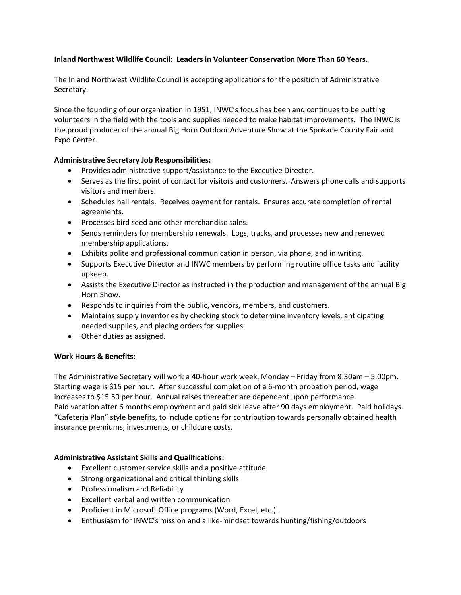# **Inland Northwest Wildlife Council: Leaders in Volunteer Conservation More Than 60 Years.**

The Inland Northwest Wildlife Council is accepting applications for the position of Administrative Secretary.

Since the founding of our organization in 1951, INWC's focus has been and continues to be putting volunteers in the field with the tools and supplies needed to make habitat improvements. The INWC is the proud producer of the annual Big Horn Outdoor Adventure Show at the Spokane County Fair and Expo Center.

## **Administrative Secretary Job Responsibilities:**

- Provides administrative support/assistance to the Executive Director.
- Serves as the first point of contact for visitors and customers. Answers phone calls and supports visitors and members.
- Schedules hall rentals. Receives payment for rentals. Ensures accurate completion of rental agreements.
- Processes bird seed and other merchandise sales.
- Sends reminders for membership renewals. Logs, tracks, and processes new and renewed membership applications.
- Exhibits polite and professional communication in person, via phone, and in writing.
- Supports Executive Director and INWC members by performing routine office tasks and facility upkeep.
- Assists the Executive Director as instructed in the production and management of the annual Big Horn Show.
- Responds to inquiries from the public, vendors, members, and customers.
- Maintains supply inventories by checking stock to determine inventory levels, anticipating needed supplies, and placing orders for supplies.
- Other duties as assigned.

## **Work Hours & Benefits:**

The Administrative Secretary will work a 40-hour work week, Monday – Friday from 8:30am – 5:00pm. Starting wage is \$15 per hour. After successful completion of a 6-month probation period, wage increases to \$15.50 per hour. Annual raises thereafter are dependent upon performance. Paid vacation after 6 months employment and paid sick leave after 90 days employment. Paid holidays. "Cafeteria Plan" style benefits, to include options for contribution towards personally obtained health insurance premiums, investments, or childcare costs.

## **Administrative Assistant Skills and Qualifications:**

- Excellent customer service skills and a positive attitude
- Strong organizational and critical thinking skills
- Professionalism and Reliability
- Excellent verbal and written communication
- Proficient in Microsoft Office programs (Word, Excel, etc.).
- Enthusiasm for INWC's mission and a like-mindset towards hunting/fishing/outdoors